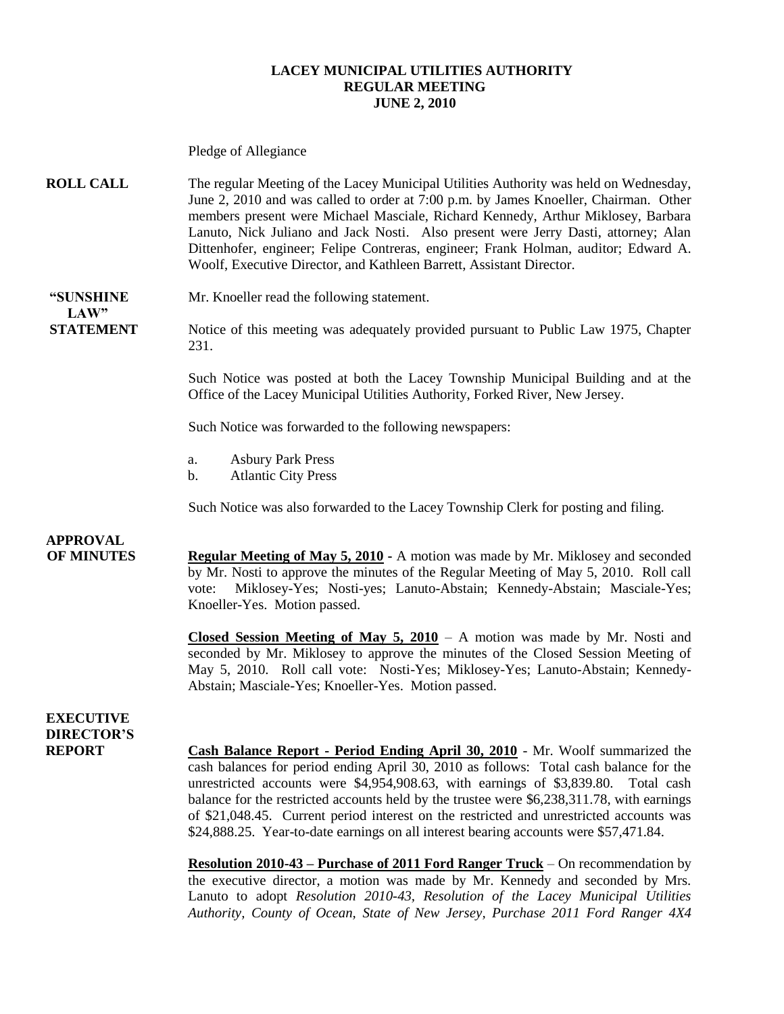#### **LACEY MUNICIPAL UTILITIES AUTHORITY REGULAR MEETING JUNE 2, 2010**

Pledge of Allegiance **ROLL CALL** The regular Meeting of the Lacey Municipal Utilities Authority was held on Wednesday, June 2, 2010 and was called to order at 7:00 p.m. by James Knoeller, Chairman. Other members present were Michael Masciale, Richard Kennedy, Arthur Miklosey, Barbara Lanuto, Nick Juliano and Jack Nosti. Also present were Jerry Dasti, attorney; Alan Dittenhofer, engineer; Felipe Contreras, engineer; Frank Holman, auditor; Edward A. Woolf, Executive Director, and Kathleen Barrett, Assistant Director. **"SUNSHINE** Mr. Knoeller read the following statement. **LAW**" **STATEMENT** Notice of this meeting was adequately provided pursuant to Public Law 1975, Chapter 231. Such Notice was posted at both the Lacey Township Municipal Building and at the Office of the Lacey Municipal Utilities Authority, Forked River, New Jersey. Such Notice was forwarded to the following newspapers: a. Asbury Park Press b. Atlantic City Press Such Notice was also forwarded to the Lacey Township Clerk for posting and filing. **APPROVAL OF MINUTES Regular Meeting of May 5, 2010 -** A motion was made by Mr. Miklosey and seconded by Mr. Nosti to approve the minutes of the Regular Meeting of May 5, 2010. Roll call vote: Miklosey-Yes; Nosti-yes; Lanuto-Abstain; Kennedy-Abstain; Masciale-Yes; Knoeller-Yes. Motion passed. **Closed Session Meeting of May 5, 2010** – A motion was made by Mr. Nosti and seconded by Mr. Miklosey to approve the minutes of the Closed Session Meeting of May 5, 2010. Roll call vote: Nosti-Yes; Miklosey-Yes; Lanuto-Abstain; Kennedy-Abstain; Masciale-Yes; Knoeller-Yes. Motion passed. **EXECUTIVE DIRECTOR'S REPORT Cash Balance Report - Period Ending April 30, 2010** - Mr. Woolf summarized the cash balances for period ending April 30, 2010 as follows: Total cash balance for the unrestricted accounts were \$4,954,908.63, with earnings of \$3,839.80. Total cash balance for the restricted accounts held by the trustee were \$6,238,311.78, with earnings of \$21,048.45. Current period interest on the restricted and unrestricted accounts was \$24,888.25. Year-to-date earnings on all interest bearing accounts were \$57,471.84. **Resolution 2010-43 – Purchase of 2011 Ford Ranger Truck** – On recommendation by

the executive director, a motion was made by Mr. Kennedy and seconded by Mrs. Lanuto to adopt *Resolution 2010-43, Resolution of the Lacey Municipal Utilities Authority, County of Ocean, State of New Jersey, Purchase 2011 Ford Ranger 4X4*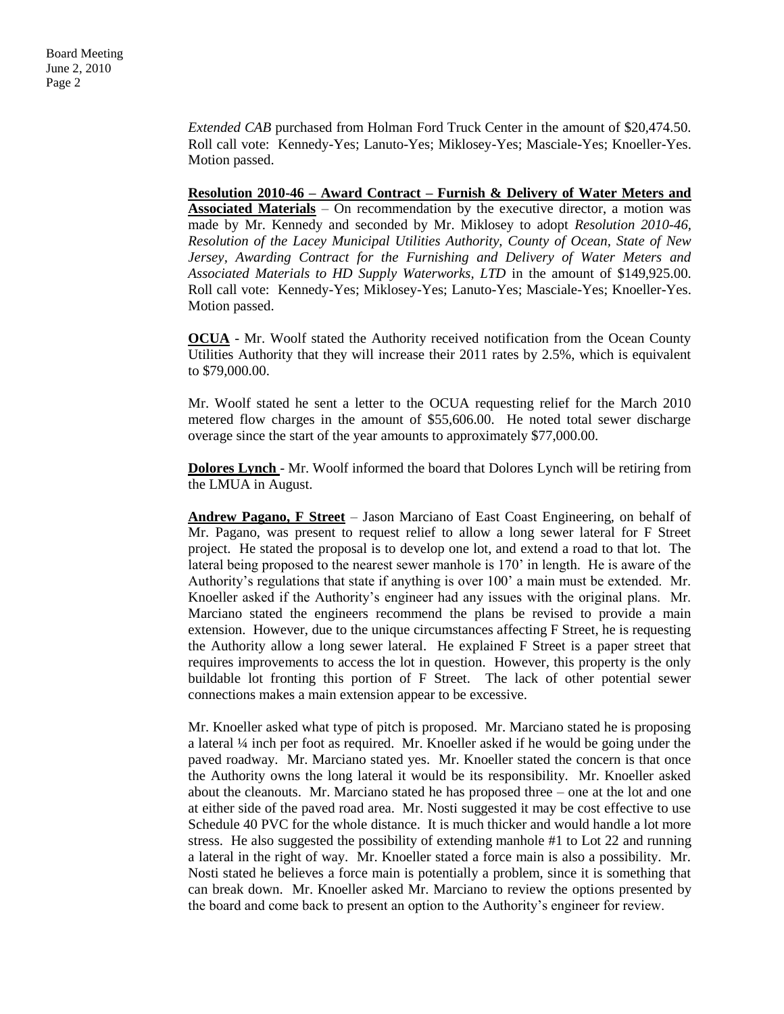*Extended CAB* purchased from Holman Ford Truck Center in the amount of \$20,474.50. Roll call vote: Kennedy-Yes; Lanuto-Yes; Miklosey-Yes; Masciale-Yes; Knoeller-Yes. Motion passed.

**Resolution 2010-46 – Award Contract – Furnish & Delivery of Water Meters and Associated Materials** – On recommendation by the executive director, a motion was made by Mr. Kennedy and seconded by Mr. Miklosey to adopt *Resolution 2010-46, Resolution of the Lacey Municipal Utilities Authority, County of Ocean, State of New Jersey, Awarding Contract for the Furnishing and Delivery of Water Meters and Associated Materials to HD Supply Waterworks, LTD* in the amount of \$149,925.00. Roll call vote: Kennedy-Yes; Miklosey-Yes; Lanuto-Yes; Masciale-Yes; Knoeller-Yes. Motion passed.

**OCUA** - Mr. Woolf stated the Authority received notification from the Ocean County Utilities Authority that they will increase their 2011 rates by 2.5%, which is equivalent to \$79,000.00.

Mr. Woolf stated he sent a letter to the OCUA requesting relief for the March 2010 metered flow charges in the amount of \$55,606.00. He noted total sewer discharge overage since the start of the year amounts to approximately \$77,000.00.

**Dolores Lynch** - Mr. Woolf informed the board that Dolores Lynch will be retiring from the LMUA in August.

**Andrew Pagano, F Street** – Jason Marciano of East Coast Engineering, on behalf of Mr. Pagano, was present to request relief to allow a long sewer lateral for F Street project. He stated the proposal is to develop one lot, and extend a road to that lot. The lateral being proposed to the nearest sewer manhole is 170' in length. He is aware of the Authority's regulations that state if anything is over 100' a main must be extended. Mr. Knoeller asked if the Authority's engineer had any issues with the original plans. Mr. Marciano stated the engineers recommend the plans be revised to provide a main extension. However, due to the unique circumstances affecting F Street, he is requesting the Authority allow a long sewer lateral. He explained F Street is a paper street that requires improvements to access the lot in question. However, this property is the only buildable lot fronting this portion of F Street. The lack of other potential sewer connections makes a main extension appear to be excessive.

Mr. Knoeller asked what type of pitch is proposed. Mr. Marciano stated he is proposing a lateral ¼ inch per foot as required. Mr. Knoeller asked if he would be going under the paved roadway. Mr. Marciano stated yes. Mr. Knoeller stated the concern is that once the Authority owns the long lateral it would be its responsibility. Mr. Knoeller asked about the cleanouts. Mr. Marciano stated he has proposed three – one at the lot and one at either side of the paved road area. Mr. Nosti suggested it may be cost effective to use Schedule 40 PVC for the whole distance. It is much thicker and would handle a lot more stress. He also suggested the possibility of extending manhole #1 to Lot 22 and running a lateral in the right of way. Mr. Knoeller stated a force main is also a possibility. Mr. Nosti stated he believes a force main is potentially a problem, since it is something that can break down. Mr. Knoeller asked Mr. Marciano to review the options presented by the board and come back to present an option to the Authority's engineer for review.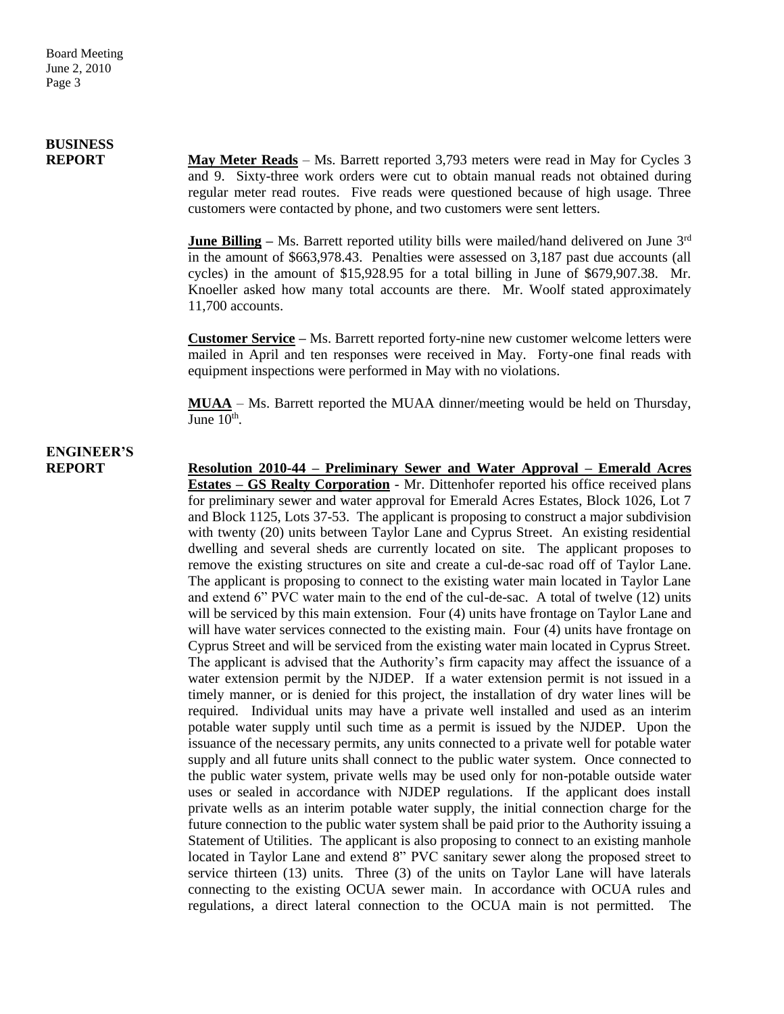# **BUSINESS**

**REPORT** May Meter Reads – Ms. Barrett reported 3,793 meters were read in May for Cycles 3 and 9. Sixty-three work orders were cut to obtain manual reads not obtained during regular meter read routes. Five reads were questioned because of high usage. Three customers were contacted by phone, and two customers were sent letters.

> **June Billing** – Ms. Barrett reported utility bills were mailed/hand delivered on June 3<sup>rd</sup> in the amount of \$663,978.43. Penalties were assessed on 3,187 past due accounts (all cycles) in the amount of \$15,928.95 for a total billing in June of \$679,907.38. Mr. Knoeller asked how many total accounts are there. Mr. Woolf stated approximately 11,700 accounts.

> **Customer Service –** Ms. Barrett reported forty-nine new customer welcome letters were mailed in April and ten responses were received in May. Forty-one final reads with equipment inspections were performed in May with no violations.

> **MUAA** – Ms. Barrett reported the MUAA dinner/meeting would be held on Thursday, June  $10^{\text{th}}$ .

# **ENGINEER'S**

**REPORT Resolution 2010-44 – Preliminary Sewer and Water Approval – Emerald Acres Estates – GS Realty Corporation** - Mr. Dittenhofer reported his office received plans for preliminary sewer and water approval for Emerald Acres Estates, Block 1026, Lot 7 and Block 1125, Lots 37-53. The applicant is proposing to construct a major subdivision with twenty (20) units between Taylor Lane and Cyprus Street. An existing residential dwelling and several sheds are currently located on site. The applicant proposes to remove the existing structures on site and create a cul-de-sac road off of Taylor Lane. The applicant is proposing to connect to the existing water main located in Taylor Lane and extend 6" PVC water main to the end of the cul-de-sac. A total of twelve (12) units will be serviced by this main extension. Four (4) units have frontage on Taylor Lane and will have water services connected to the existing main. Four  $(4)$  units have frontage on Cyprus Street and will be serviced from the existing water main located in Cyprus Street. The applicant is advised that the Authority's firm capacity may affect the issuance of a water extension permit by the NJDEP. If a water extension permit is not issued in a timely manner, or is denied for this project, the installation of dry water lines will be required. Individual units may have a private well installed and used as an interim potable water supply until such time as a permit is issued by the NJDEP. Upon the issuance of the necessary permits, any units connected to a private well for potable water supply and all future units shall connect to the public water system. Once connected to the public water system, private wells may be used only for non-potable outside water uses or sealed in accordance with NJDEP regulations. If the applicant does install private wells as an interim potable water supply, the initial connection charge for the future connection to the public water system shall be paid prior to the Authority issuing a Statement of Utilities. The applicant is also proposing to connect to an existing manhole located in Taylor Lane and extend 8" PVC sanitary sewer along the proposed street to service thirteen (13) units. Three (3) of the units on Taylor Lane will have laterals connecting to the existing OCUA sewer main. In accordance with OCUA rules and regulations, a direct lateral connection to the OCUA main is not permitted. The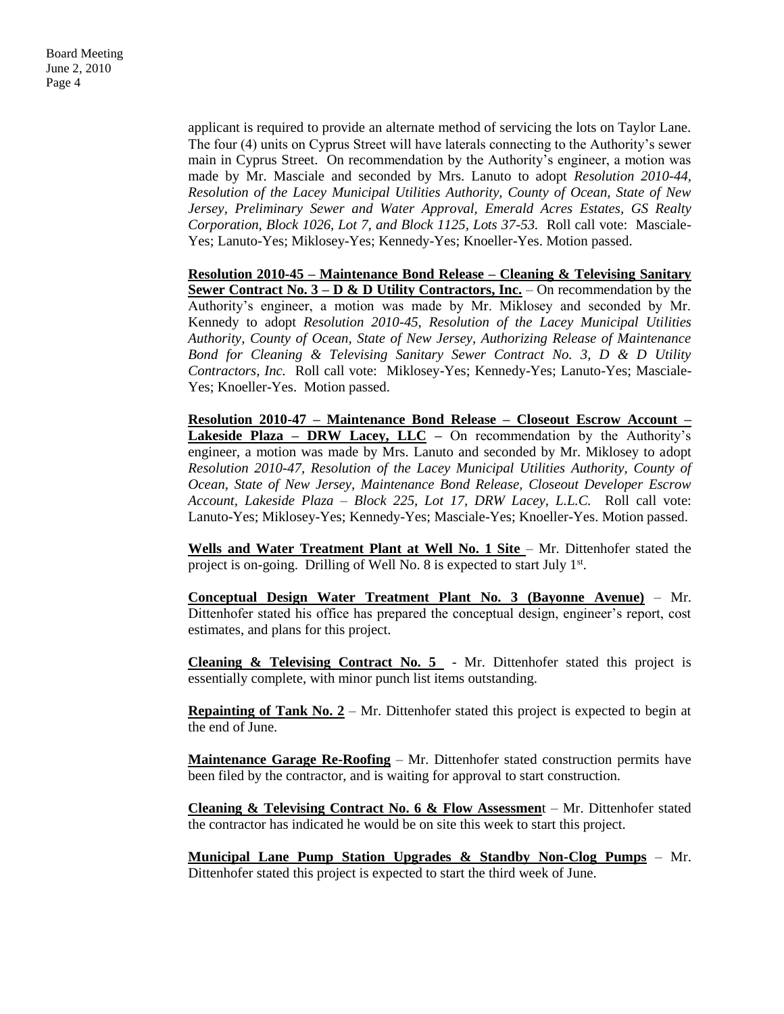Board Meeting June 2, 2010 Page 4

> applicant is required to provide an alternate method of servicing the lots on Taylor Lane. The four (4) units on Cyprus Street will have laterals connecting to the Authority's sewer main in Cyprus Street. On recommendation by the Authority's engineer, a motion was made by Mr. Masciale and seconded by Mrs. Lanuto to adopt *Resolution 2010-44, Resolution of the Lacey Municipal Utilities Authority, County of Ocean, State of New Jersey, Preliminary Sewer and Water Approval, Emerald Acres Estates, GS Realty Corporation, Block 1026, Lot 7, and Block 1125, Lots 37-53.* Roll call vote: Masciale-Yes; Lanuto-Yes; Miklosey-Yes; Kennedy-Yes; Knoeller-Yes. Motion passed.

> **Resolution 2010-45 – Maintenance Bond Release – Cleaning & Televising Sanitary <u>Sewer Contract No. 3 – D & D Utility Contractors, Inc.</u> – On recommendation by the** Authority's engineer, a motion was made by Mr. Miklosey and seconded by Mr. Kennedy to adopt *Resolution 2010-45, Resolution of the Lacey Municipal Utilities Authority, County of Ocean, State of New Jersey, Authorizing Release of Maintenance Bond for Cleaning & Televising Sanitary Sewer Contract No. 3, D & D Utility Contractors, Inc.* Roll call vote: Miklosey-Yes; Kennedy-Yes; Lanuto-Yes; Masciale-Yes; Knoeller-Yes. Motion passed.

> **Resolution 2010-47 – Maintenance Bond Release – Closeout Escrow Account – Lakeside Plaza – DRW Lacey, LLC –** On recommendation by the Authority's engineer, a motion was made by Mrs. Lanuto and seconded by Mr. Miklosey to adopt *Resolution 2010-47, Resolution of the Lacey Municipal Utilities Authority, County of Ocean, State of New Jersey, Maintenance Bond Release, Closeout Developer Escrow Account, Lakeside Plaza – Block 225, Lot 17, DRW Lacey, L.L.C.* Roll call vote: Lanuto-Yes; Miklosey-Yes; Kennedy-Yes; Masciale-Yes; Knoeller-Yes. Motion passed.

> Wells and Water Treatment Plant at Well No. 1 Site - Mr. Dittenhofer stated the project is on-going. Drilling of Well No. 8 is expected to start July  $1<sup>st</sup>$ .

> **Conceptual Design Water Treatment Plant No. 3 (Bayonne Avenue)** – Mr. Dittenhofer stated his office has prepared the conceptual design, engineer's report, cost estimates, and plans for this project.

> **Cleaning & Televising Contract No. 5** - Mr. Dittenhofer stated this project is essentially complete, with minor punch list items outstanding.

> **Repainting of Tank No. 2** – Mr. Dittenhofer stated this project is expected to begin at the end of June.

> **Maintenance Garage Re-Roofing** – Mr. Dittenhofer stated construction permits have been filed by the contractor, and is waiting for approval to start construction.

> **Cleaning & Televising Contract No. 6 & Flow Assessmen**t – Mr. Dittenhofer stated the contractor has indicated he would be on site this week to start this project.

> **Municipal Lane Pump Station Upgrades & Standby Non-Clog Pumps** – Mr. Dittenhofer stated this project is expected to start the third week of June.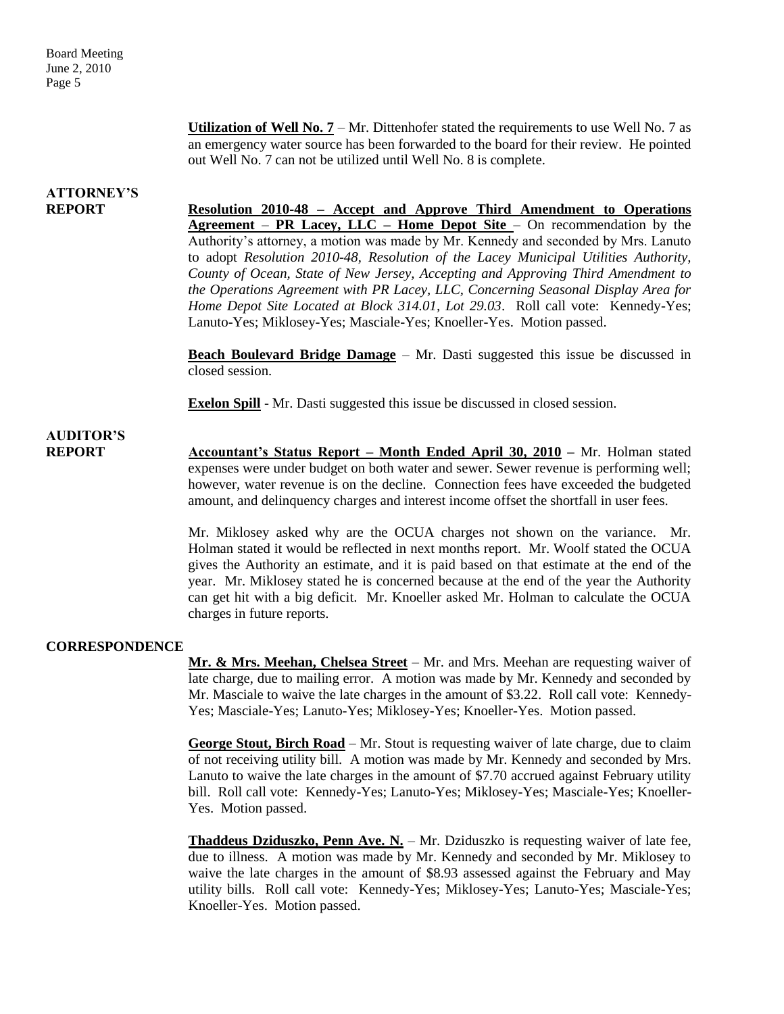**Utilization of Well No. 7** – Mr. Dittenhofer stated the requirements to use Well No. 7 as an emergency water source has been forwarded to the board for their review. He pointed out Well No. 7 can not be utilized until Well No. 8 is complete.

### **ATTORNEY'S**

**REPORT Resolution 2010-48 – Accept and Approve Third Amendment to Operations Agreement** – **PR Lacey, LLC – Home Depot Site** – On recommendation by the Authority's attorney, a motion was made by Mr. Kennedy and seconded by Mrs. Lanuto to adopt *Resolution 2010-48, Resolution of the Lacey Municipal Utilities Authority, County of Ocean, State of New Jersey, Accepting and Approving Third Amendment to the Operations Agreement with PR Lacey, LLC, Concerning Seasonal Display Area for Home Depot Site Located at Block 314.01, Lot 29.03*. Roll call vote: Kennedy-Yes; Lanuto-Yes; Miklosey-Yes; Masciale-Yes; Knoeller-Yes. Motion passed.

> **Beach Boulevard Bridge Damage** – Mr. Dasti suggested this issue be discussed in closed session.

**Exelon Spill** - Mr. Dasti suggested this issue be discussed in closed session.

## **AUDITOR'S**

**REPORT Accountant's Status Report – Month Ended April 30, 2010 –** Mr. Holman stated expenses were under budget on both water and sewer. Sewer revenue is performing well; however, water revenue is on the decline. Connection fees have exceeded the budgeted amount, and delinquency charges and interest income offset the shortfall in user fees.

> Mr. Miklosey asked why are the OCUA charges not shown on the variance. Mr. Holman stated it would be reflected in next months report. Mr. Woolf stated the OCUA gives the Authority an estimate, and it is paid based on that estimate at the end of the year. Mr. Miklosey stated he is concerned because at the end of the year the Authority can get hit with a big deficit. Mr. Knoeller asked Mr. Holman to calculate the OCUA charges in future reports.

#### **CORRESPONDENCE**

**Mr. & Mrs. Meehan, Chelsea Street** – Mr. and Mrs. Meehan are requesting waiver of late charge, due to mailing error. A motion was made by Mr. Kennedy and seconded by Mr. Masciale to waive the late charges in the amount of \$3.22. Roll call vote: Kennedy-Yes; Masciale-Yes; Lanuto-Yes; Miklosey-Yes; Knoeller-Yes. Motion passed.

**George Stout, Birch Road** – Mr. Stout is requesting waiver of late charge, due to claim of not receiving utility bill. A motion was made by Mr. Kennedy and seconded by Mrs. Lanuto to waive the late charges in the amount of \$7.70 accrued against February utility bill. Roll call vote: Kennedy-Yes; Lanuto-Yes; Miklosey-Yes; Masciale-Yes; Knoeller-Yes. Motion passed.

**Thaddeus Dziduszko, Penn Ave. N.** – Mr. Dziduszko is requesting waiver of late fee, due to illness. A motion was made by Mr. Kennedy and seconded by Mr. Miklosey to waive the late charges in the amount of \$8.93 assessed against the February and May utility bills. Roll call vote: Kennedy-Yes; Miklosey-Yes; Lanuto-Yes; Masciale-Yes; Knoeller-Yes. Motion passed.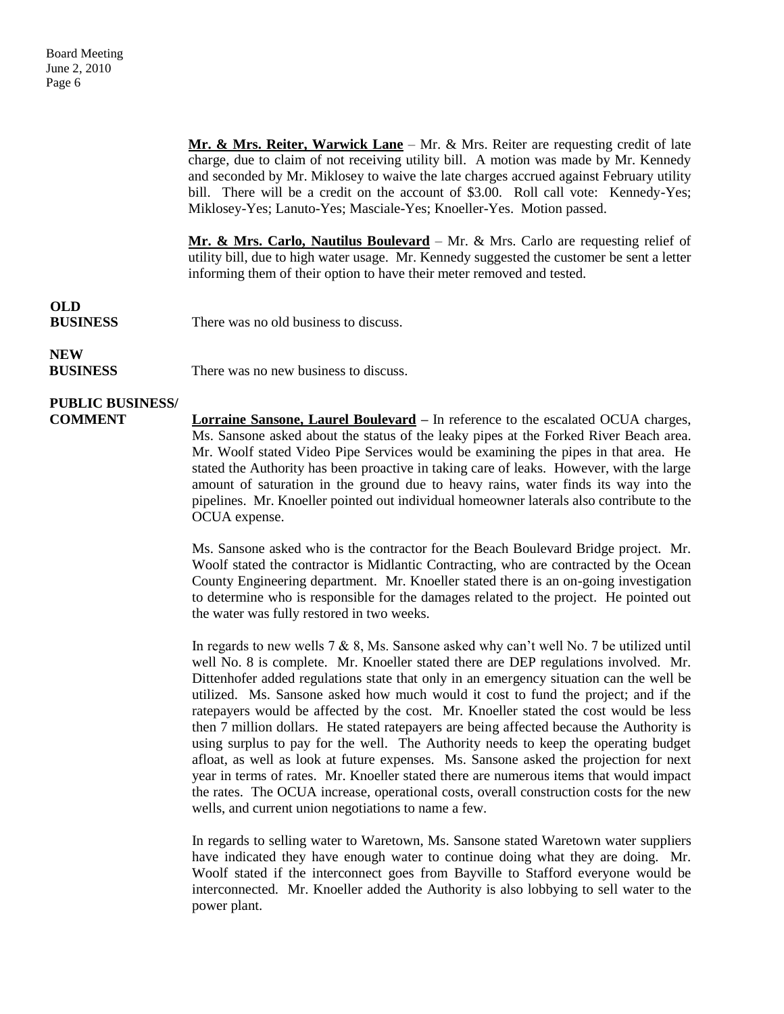**Mr. & Mrs. Reiter, Warwick Lane** – Mr. & Mrs. Reiter are requesting credit of late charge, due to claim of not receiving utility bill. A motion was made by Mr. Kennedy and seconded by Mr. Miklosey to waive the late charges accrued against February utility bill. There will be a credit on the account of \$3.00. Roll call vote: Kennedy-Yes; Miklosey-Yes; Lanuto-Yes; Masciale-Yes; Knoeller-Yes. Motion passed.

**Mr. & Mrs. Carlo, Nautilus Boulevard** – Mr. & Mrs. Carlo are requesting relief of utility bill, due to high water usage. Mr. Kennedy suggested the customer be sent a letter informing them of their option to have their meter removed and tested.

# **OLD**

**BUSINESS** There was no old business to discuss.

### **NEW**

**BUSINESS** There was no new business to discuss.

# **PUBLIC BUSINESS/**

**COMMENT Lorraine Sansone, Laurel Boulevard** – In reference to the escalated OCUA charges, Ms. Sansone asked about the status of the leaky pipes at the Forked River Beach area. Mr. Woolf stated Video Pipe Services would be examining the pipes in that area. He stated the Authority has been proactive in taking care of leaks. However, with the large amount of saturation in the ground due to heavy rains, water finds its way into the pipelines. Mr. Knoeller pointed out individual homeowner laterals also contribute to the OCUA expense.

> Ms. Sansone asked who is the contractor for the Beach Boulevard Bridge project. Mr. Woolf stated the contractor is Midlantic Contracting, who are contracted by the Ocean County Engineering department. Mr. Knoeller stated there is an on-going investigation to determine who is responsible for the damages related to the project. He pointed out the water was fully restored in two weeks.

> In regards to new wells 7 & 8, Ms. Sansone asked why can't well No. 7 be utilized until well No. 8 is complete. Mr. Knoeller stated there are DEP regulations involved. Mr. Dittenhofer added regulations state that only in an emergency situation can the well be utilized. Ms. Sansone asked how much would it cost to fund the project; and if the ratepayers would be affected by the cost. Mr. Knoeller stated the cost would be less then 7 million dollars. He stated ratepayers are being affected because the Authority is using surplus to pay for the well. The Authority needs to keep the operating budget afloat, as well as look at future expenses. Ms. Sansone asked the projection for next year in terms of rates. Mr. Knoeller stated there are numerous items that would impact the rates. The OCUA increase, operational costs, overall construction costs for the new wells, and current union negotiations to name a few.

> In regards to selling water to Waretown, Ms. Sansone stated Waretown water suppliers have indicated they have enough water to continue doing what they are doing. Mr. Woolf stated if the interconnect goes from Bayville to Stafford everyone would be interconnected. Mr. Knoeller added the Authority is also lobbying to sell water to the power plant.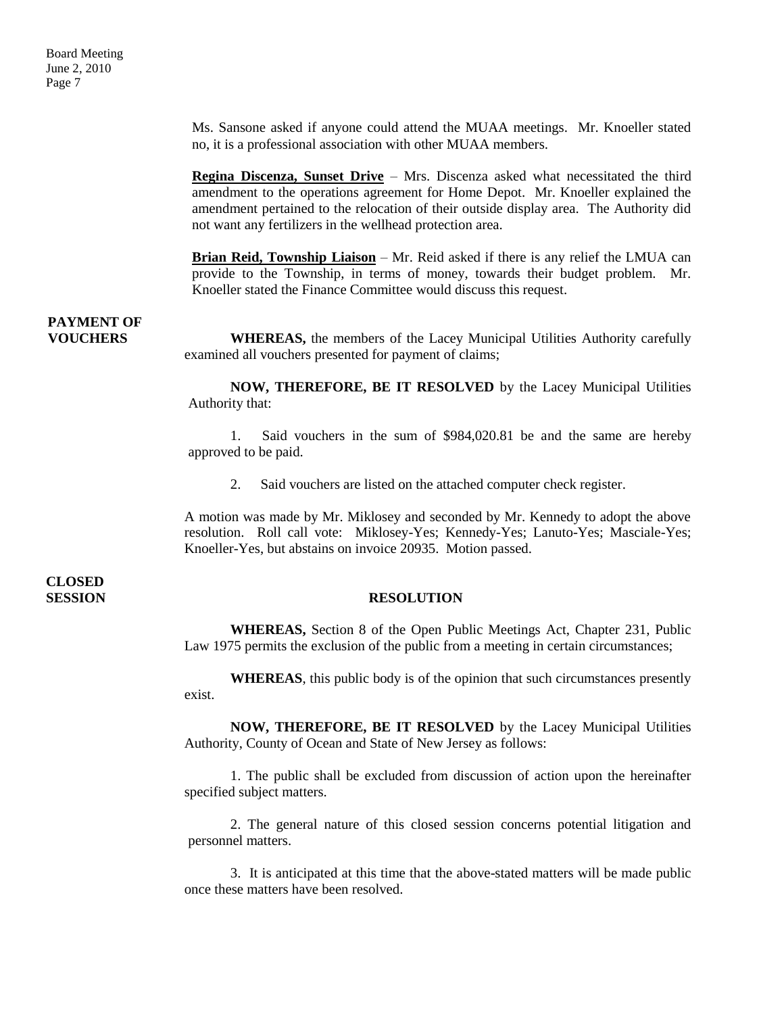Ms. Sansone asked if anyone could attend the MUAA meetings. Mr. Knoeller stated no, it is a professional association with other MUAA members.

**Regina Discenza, Sunset Drive** – Mrs. Discenza asked what necessitated the third amendment to the operations agreement for Home Depot. Mr. Knoeller explained the amendment pertained to the relocation of their outside display area. The Authority did not want any fertilizers in the wellhead protection area.

**Brian Reid, Township Liaison** – Mr. Reid asked if there is any relief the LMUA can provide to the Township, in terms of money, towards their budget problem. Mr. Knoeller stated the Finance Committee would discuss this request.

### **PAYMENT OF**

**VOUCHERS** WHEREAS, the members of the Lacey Municipal Utilities Authority carefully examined all vouchers presented for payment of claims;

> **NOW, THEREFORE, BE IT RESOLVED** by the Lacey Municipal Utilities Authority that:

> 1. Said vouchers in the sum of \$984,020.81 be and the same are hereby approved to be paid.

2. Said vouchers are listed on the attached computer check register.

A motion was made by Mr. Miklosey and seconded by Mr. Kennedy to adopt the above resolution. Roll call vote: Miklosey-Yes; Kennedy-Yes; Lanuto-Yes; Masciale-Yes; Knoeller-Yes, but abstains on invoice 20935. Motion passed.

# **CLOSED**

#### **SESSION RESOLUTION**

**WHEREAS,** Section 8 of the Open Public Meetings Act, Chapter 231, Public Law 1975 permits the exclusion of the public from a meeting in certain circumstances;

**WHEREAS**, this public body is of the opinion that such circumstances presently exist.

**NOW, THEREFORE, BE IT RESOLVED** by the Lacey Municipal Utilities Authority, County of Ocean and State of New Jersey as follows:

1. The public shall be excluded from discussion of action upon the hereinafter specified subject matters.

2. The general nature of this closed session concerns potential litigation and personnel matters.

3. It is anticipated at this time that the above-stated matters will be made public once these matters have been resolved.